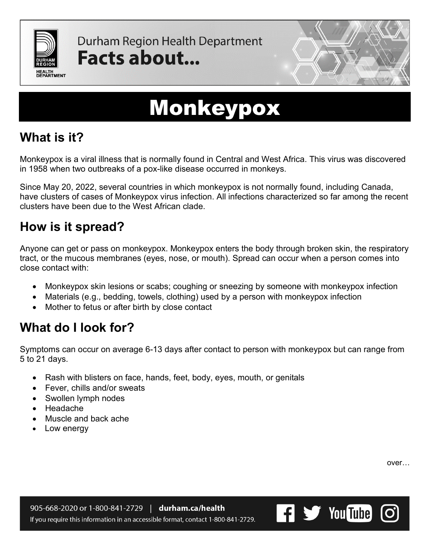

Durham Region Health Department Facts about...



# Monkeypox

## **What is it?**

Monkeypox is a viral illness that is normally found in Central and West Africa. This virus was discovered in 1958 when two outbreaks of a pox-like disease occurred in monkeys.

Since May 20, 2022, several countries in which monkeypox is not normally found, including Canada, have clusters of cases of Monkeypox virus infection. All infections characterized so far among the recent clusters have been due to the West African clade.

## **How is it spread?**

Anyone can get or pass on monkeypox. Monkeypox enters the body through broken skin, the respiratory tract, or the mucous membranes (eyes, nose, or mouth). Spread can occur when a person comes into close contact with:

- Monkeypox skin lesions or scabs; coughing or sneezing by someone with monkeypox infection
- Materials (e.g., bedding, towels, clothing) used by a person with monkeypox infection
- Mother to fetus or after birth by close contact

## **What do I look for?**

Symptoms can occur on average 6-13 days after contact to person with monkeypox but can range from 5 to 21 days.

- Rash with blisters on face, hands, feet, body, eyes, mouth, or genitals
- Fever, chills and/or sweats
- Swollen lymph nodes
- Headache
- Muscle and back ache
- Low energy

over…